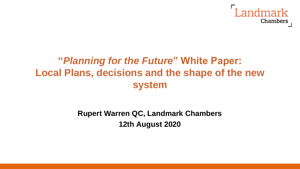

# **"***Planning for the Future***" White Paper: Local Plans, decisions and the shape of the new system**

### **Rupert Warren QC, Landmark Chambers 12th August 2020**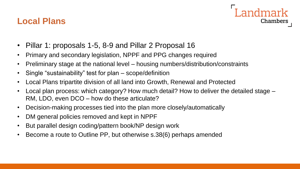### **Local Plans**



- Pillar 1: proposals 1-5, 8-9 and Pillar 2 Proposal 16
- Primary and secondary legislation, NPPF and PPG changes required
- Preliminary stage at the national level housing numbers/distribution/constraints
- Single "sustainability" test for plan scope/definition
- Local Plans tripartite division of all land into Growth, Renewal and Protected
- Local plan process: which category? How much detail? How to deliver the detailed stage RM, LDO, even DCO – how do these articulate?
- Decision-making processes tied into the plan more closely/automatically
- DM general policies removed and kept in NPPF
- But parallel design coding/pattern book/NP design work
- Become a route to Outline PP, but otherwise s.38(6) perhaps amended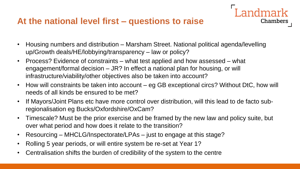### **At the national level first – questions to raise**

• Housing numbers and distribution – Marsham Street. National political agenda/levelling up/Growth deals/HE/lobbying/transparency – law or policy?

ndmark

- Process? Evidence of constraints what test applied and how assessed what engagement/formal decision – JR? In effect a national plan for housing, or will infrastructure/viability/other objectives also be taken into account?
- How will constraints be taken into account eg GB exceptional circs? Without DtC, how will needs of all kinds be ensured to be met?
- If Mayors/Joint Plans etc have more control over distribution, will this lead to de facto subregionalisation eg Bucks/Oxfordshire/OxCam?
- Timescale? Must be the prior exercise and be framed by the new law and policy suite, but over what period and how does it relate to the transition?
- Resourcing MHCLG/Inspectorate/LPAs just to engage at this stage?
- Rolling 5 year periods, or will entire system be re-set at Year 1?
- Centralisation shifts the burden of credibility of the system to the centre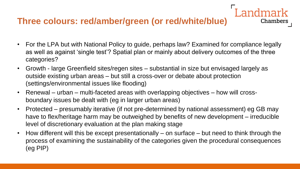## **Three colours: red/amber/green (or red/white/blue)**

• For the LPA but with National Policy to guide, perhaps law? Examined for compliance legally as well as against 'single test'? Spatial plan or mainly about delivery outcomes of the three categories?

dmark

- Growth large Greenfield sites/regen sites substantial in size but envisaged largely as outside existing urban areas – but still a cross-over or debate about protection (settings/environmental issues like flooding)
- Renewal urban multi-faceted areas with overlapping objectives how will crossboundary issues be dealt with (eg in larger urban areas)
- Protected presumably iterative (if not pre-determined by national assessment) eg GB may have to flex/heritage harm may be outweighed by benefits of new development – irreducible level of discretionary evaluation at the plan making stage
- How different will this be except presentationally on surface but need to think through the process of examining the sustainability of the categories given the procedural consequences (eg PIP)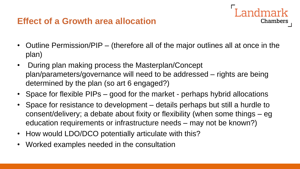### **Effect of a Growth area allocation**

• Outline Permission/PIP – (therefore all of the major outlines all at once in the plan)

- During plan making process the Masterplan/Concept plan/parameters/governance will need to be addressed – rights are being determined by the plan (so art 6 engaged?)
- Space for flexible PIPs good for the market perhaps hybrid allocations
- Space for resistance to development details perhaps but still a hurdle to consent/delivery; a debate about fixity or flexibility (when some things – eg education requirements or infrastructure needs – may not be known?)
- How would LDO/DCO potentially articulate with this?
- Worked examples needed in the consultation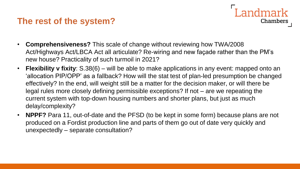#### **The rest of the system?**

• **Comprehensiveness?** This scale of change without reviewing how TWA/2008 Act/Highways Act/LBCA Act all articulate? Re-wiring and new façade rather than the PM's new house? Practicality of such turmoil in 2021?

**Landmark** 

- **Flexibility v fixity**: S.38(6) will be able to make applications in any event: mapped onto an 'allocation PIP/OPP' as a fallback? How will the stat test of plan-led presumption be changed effectively? In the end, will weight still be a matter for the decision maker, or will there be legal rules more closely defining permissible exceptions? If not – are we repeating the current system with top-down housing numbers and shorter plans, but just as much delay/complexity?
- **NPPF?** Para 11, out-of-date and the PFSD (to be kept in some form) because plans are not produced on a Fordist production line and parts of them go out of date very quickly and unexpectedly – separate consultation?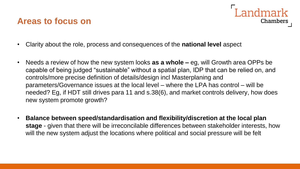#### **Areas to focus on**



- Clarity about the role, process and consequences of the **national level** aspect
- Needs a review of how the new system looks **as a whole –** eg, will Growth area OPPs be capable of being judged "sustainable" without a spatial plan, IDP that can be relied on, and controls/more precise definition of details/design incl Masterplaning and parameters/Governance issues at the local level – where the LPA has control – will be needed? Eg, if HDT still drives para 11 and s.38(6), and market controls delivery, how does new system promote growth?
- **Balance between speed/standardisation and flexibility/discretion at the local plan stage** - given that there will be irreconcilable differences between stakeholder interests, how will the new system adjust the locations where political and social pressure will be felt